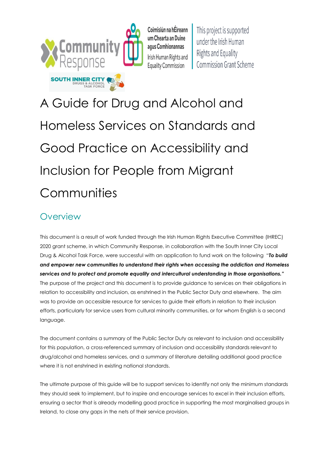

Coimisiún na hÉireann um Chearta an Duine agus Comhionannas Irish Human Rights and **Equality Commission** 

This project is supported under the Irish Human **Rights and Equality Commission Grant Scheme** 

A Guide for Drug and Alcohol and Homeless Services on Standards and Good Practice on Accessibility and Inclusion for People from Migrant **Communities** 

# **Overview**

This document is a result of work funded through the Irish Human Rights Executive Committee (IHREC) 2020 grant scheme, in which Community Response, in collaboration with the South Inner City Local Drug & Alcohol Task Force, were successful with an application to fund work on the following "*To build and empower new communities to understand their rights when accessing the addiction and Homeless services and to protect and promote equality and intercultural understanding in those organisations."* The purpose of the project and this document is to provide guidance to services on their obligations in relation to accessibility and inclusion, as enshrined in the Public Sector Duty and elsewhere. The aim was to provide an accessible resource for services to guide their efforts in relation to their inclusion efforts, particularly for service users from cultural minority communities, or for whom English is a second language.

The document contains a summary of the Public Sector Duty as relevant to inclusion and accessibility for this population, a cross-referenced summary of inclusion and accessibility standards relevant to drug/alcohol and homeless services, and a summary of literature detailing additional good practice where it is not enshrined in existing national standards.

The ultimate purpose of this guide will be to support services to identify not only the minimum standards they should seek to implement, but to inspire and encourage services to excel in their inclusion efforts, ensuring a sector that is already modelling good practice in supporting the most marginalised groups in Ireland, to close any gaps in the nets of their service provision.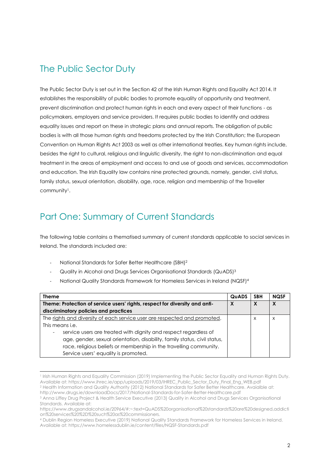#### The Public Sector Duty

The Public Sector Duty is set out in the Section 42 of the Irish Human Rights and Equality Act 2014. It establishes the responsibility of public bodies to promote equality of opportunity and treatment, prevent discrimination and protect human rights in each and every aspect of their functions - as policymakers, employers and service providers. It requires public bodies to identify and address equality issues and report on these in strategic plans and annual reports. The obligation of public bodies is with all those human rights and freedoms protected by the Irish Constitution; the European Convention on Human Rights Act 2003 as well as other international treaties. Key human rights include, besides the right to cultural, religious and linguistic diversity, the right to non-discrimination and equal treatment in the areas of employment and access to and use of goods and services, accommodation and education. The Irish Equality law contains nine protected grounds, namely, gender, civil status, family status, sexual orientation, disability, age, race, religion and membership of the Traveller community<sup>1</sup> .

### Part One: Summary of Current Standards

The following table contains a thematised summary of current standards applicable to social services in Ireland. The standards included are:

National Standards for Safer Better Healthcare (SBH)<sup>2</sup>

l

- Quality in Alcohol and Drugs Services Organisational Standards (QuADS) 3
- National Quality Standards Framework for Homeless Services in Ireland (NQSF)<sup>4</sup>

| <b>Theme</b>                                                                | <b>QuADS</b> | <b>SBH</b> | <b>NQSF</b> |
|-----------------------------------------------------------------------------|--------------|------------|-------------|
| Theme: Protection of service users' rights, respect for diversity and anti- | X            | X          |             |
| discriminatory policies and practices                                       |              |            |             |
| The rights and diversity of each service user are respected and promoted.   |              | $\times$   | $\times$    |
| This means <i>i.e.</i>                                                      |              |            |             |
| service users are treated with dignity and respect regardless of            |              |            |             |
| age, gender, sexual orientation, disability, family status, civil status,   |              |            |             |
| race, religious beliefs or membership in the travelling community.          |              |            |             |
| Service users' equality is promoted.                                        |              |            |             |

<sup>1</sup> Irish Human Rights and Equality Commission (2019) Implementing the Public Sector Equality and Human Rights Duty. Available at: https://www.ihrec.ie/app/uploads/2019/03/IHREC\_Public\_Sector\_Duty\_Final\_Eng\_WEB.pdf

<sup>2</sup> Health Information and Quality Authority (2012) National Standards for Safer Better Healthcare. Avaialble at: http://www.drugs.ie/downloadDocs/2017/National-Standards-for-Safer-Better-Healthcare.pdf

<sup>3</sup> Anna Liffey Drug Project & Health Service Executive (2013) Quality in Alcohol and Drugs Services Organisational Standards. Available at:

https://www.drugsandalcohol.ie/20964/#:~:text=QuADS%20organisational%20standards%20are%20designed,addicti on%20services%20%2D%20such%20as%20commissioners.

<sup>4</sup> Dublin Region Homeless Executive (2019) National Quality Standards Framework for Homeless Services in Ireland. Available at: https://www.homelessdublin.ie/content/files/NQSF-Standards.pdf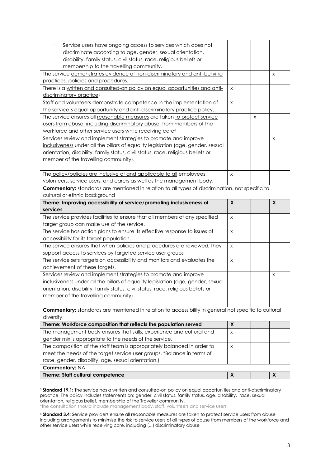| The policy/policies are inclusive of and applicable to all employees,<br>volunteers, service users, and carers as well as the management body.<br><b>Commentary:</b> standards are mentioned in relation to all types of discrimination, not specific to<br>cultural or ethnic background<br>Theme: Improving accessibility of service/promoting inclusiveness of<br>services<br>The service provides facilities to ensure that all members of any specified<br>target group can make use of the service.<br>The service has action plans to ensure its effective response to issues of<br>accessibility for its target population.<br>The service ensures that when policies and procedures are reviewed, they<br>support access to services by targeted service user groups<br>The service sets targets on accessibility and monitors and evaluates the<br>achievement of these targets.<br>Services review and implement strategies to promote and improve<br>inclusiveness under all the pillars of equality legislation (age, gender, sexual<br>orientation, disability, family status, civil status, race, religious beliefs or<br>member of the travelling community).<br>Commentary: standards are mentioned in relation to accessibility in general not specific to cultural<br>diversity<br>Theme: Workforce composition that reflects the population served<br>The management body ensures that skills, experience and cultural and<br>gender mix is appropriate to the needs of the service.<br>The composition of the staff team is appropriately balanced in order to<br>meet the needs of the target service user groups. *Balance in terms of<br>race, gender, disability, age, sexual orientation.)<br>Commentary: NA<br>Theme: Staff cultural competence | X<br>$\pmb{\mathsf{X}}$<br>X<br>$\pmb{\times}$<br>X<br>X<br>X<br>X<br>X |   | X<br>X |
|----------------------------------------------------------------------------------------------------------------------------------------------------------------------------------------------------------------------------------------------------------------------------------------------------------------------------------------------------------------------------------------------------------------------------------------------------------------------------------------------------------------------------------------------------------------------------------------------------------------------------------------------------------------------------------------------------------------------------------------------------------------------------------------------------------------------------------------------------------------------------------------------------------------------------------------------------------------------------------------------------------------------------------------------------------------------------------------------------------------------------------------------------------------------------------------------------------------------------------------------------------------------------------------------------------------------------------------------------------------------------------------------------------------------------------------------------------------------------------------------------------------------------------------------------------------------------------------------------------------------------------------------------------------------------------------------------------------------------------------------------------------------------|-------------------------------------------------------------------------|---|--------|
|                                                                                                                                                                                                                                                                                                                                                                                                                                                                                                                                                                                                                                                                                                                                                                                                                                                                                                                                                                                                                                                                                                                                                                                                                                                                                                                                                                                                                                                                                                                                                                                                                                                                                                                                                                            |                                                                         |   |        |
|                                                                                                                                                                                                                                                                                                                                                                                                                                                                                                                                                                                                                                                                                                                                                                                                                                                                                                                                                                                                                                                                                                                                                                                                                                                                                                                                                                                                                                                                                                                                                                                                                                                                                                                                                                            |                                                                         |   |        |
|                                                                                                                                                                                                                                                                                                                                                                                                                                                                                                                                                                                                                                                                                                                                                                                                                                                                                                                                                                                                                                                                                                                                                                                                                                                                                                                                                                                                                                                                                                                                                                                                                                                                                                                                                                            |                                                                         |   |        |
|                                                                                                                                                                                                                                                                                                                                                                                                                                                                                                                                                                                                                                                                                                                                                                                                                                                                                                                                                                                                                                                                                                                                                                                                                                                                                                                                                                                                                                                                                                                                                                                                                                                                                                                                                                            |                                                                         |   |        |
|                                                                                                                                                                                                                                                                                                                                                                                                                                                                                                                                                                                                                                                                                                                                                                                                                                                                                                                                                                                                                                                                                                                                                                                                                                                                                                                                                                                                                                                                                                                                                                                                                                                                                                                                                                            |                                                                         |   |        |
|                                                                                                                                                                                                                                                                                                                                                                                                                                                                                                                                                                                                                                                                                                                                                                                                                                                                                                                                                                                                                                                                                                                                                                                                                                                                                                                                                                                                                                                                                                                                                                                                                                                                                                                                                                            |                                                                         |   |        |
|                                                                                                                                                                                                                                                                                                                                                                                                                                                                                                                                                                                                                                                                                                                                                                                                                                                                                                                                                                                                                                                                                                                                                                                                                                                                                                                                                                                                                                                                                                                                                                                                                                                                                                                                                                            |                                                                         |   |        |
|                                                                                                                                                                                                                                                                                                                                                                                                                                                                                                                                                                                                                                                                                                                                                                                                                                                                                                                                                                                                                                                                                                                                                                                                                                                                                                                                                                                                                                                                                                                                                                                                                                                                                                                                                                            |                                                                         |   |        |
|                                                                                                                                                                                                                                                                                                                                                                                                                                                                                                                                                                                                                                                                                                                                                                                                                                                                                                                                                                                                                                                                                                                                                                                                                                                                                                                                                                                                                                                                                                                                                                                                                                                                                                                                                                            |                                                                         |   |        |
|                                                                                                                                                                                                                                                                                                                                                                                                                                                                                                                                                                                                                                                                                                                                                                                                                                                                                                                                                                                                                                                                                                                                                                                                                                                                                                                                                                                                                                                                                                                                                                                                                                                                                                                                                                            |                                                                         |   |        |
|                                                                                                                                                                                                                                                                                                                                                                                                                                                                                                                                                                                                                                                                                                                                                                                                                                                                                                                                                                                                                                                                                                                                                                                                                                                                                                                                                                                                                                                                                                                                                                                                                                                                                                                                                                            |                                                                         |   |        |
|                                                                                                                                                                                                                                                                                                                                                                                                                                                                                                                                                                                                                                                                                                                                                                                                                                                                                                                                                                                                                                                                                                                                                                                                                                                                                                                                                                                                                                                                                                                                                                                                                                                                                                                                                                            |                                                                         |   |        |
|                                                                                                                                                                                                                                                                                                                                                                                                                                                                                                                                                                                                                                                                                                                                                                                                                                                                                                                                                                                                                                                                                                                                                                                                                                                                                                                                                                                                                                                                                                                                                                                                                                                                                                                                                                            |                                                                         |   |        |
|                                                                                                                                                                                                                                                                                                                                                                                                                                                                                                                                                                                                                                                                                                                                                                                                                                                                                                                                                                                                                                                                                                                                                                                                                                                                                                                                                                                                                                                                                                                                                                                                                                                                                                                                                                            |                                                                         |   |        |
|                                                                                                                                                                                                                                                                                                                                                                                                                                                                                                                                                                                                                                                                                                                                                                                                                                                                                                                                                                                                                                                                                                                                                                                                                                                                                                                                                                                                                                                                                                                                                                                                                                                                                                                                                                            |                                                                         |   |        |
|                                                                                                                                                                                                                                                                                                                                                                                                                                                                                                                                                                                                                                                                                                                                                                                                                                                                                                                                                                                                                                                                                                                                                                                                                                                                                                                                                                                                                                                                                                                                                                                                                                                                                                                                                                            |                                                                         |   |        |
|                                                                                                                                                                                                                                                                                                                                                                                                                                                                                                                                                                                                                                                                                                                                                                                                                                                                                                                                                                                                                                                                                                                                                                                                                                                                                                                                                                                                                                                                                                                                                                                                                                                                                                                                                                            |                                                                         |   |        |
|                                                                                                                                                                                                                                                                                                                                                                                                                                                                                                                                                                                                                                                                                                                                                                                                                                                                                                                                                                                                                                                                                                                                                                                                                                                                                                                                                                                                                                                                                                                                                                                                                                                                                                                                                                            |                                                                         |   |        |
|                                                                                                                                                                                                                                                                                                                                                                                                                                                                                                                                                                                                                                                                                                                                                                                                                                                                                                                                                                                                                                                                                                                                                                                                                                                                                                                                                                                                                                                                                                                                                                                                                                                                                                                                                                            |                                                                         |   |        |
|                                                                                                                                                                                                                                                                                                                                                                                                                                                                                                                                                                                                                                                                                                                                                                                                                                                                                                                                                                                                                                                                                                                                                                                                                                                                                                                                                                                                                                                                                                                                                                                                                                                                                                                                                                            |                                                                         |   |        |
|                                                                                                                                                                                                                                                                                                                                                                                                                                                                                                                                                                                                                                                                                                                                                                                                                                                                                                                                                                                                                                                                                                                                                                                                                                                                                                                                                                                                                                                                                                                                                                                                                                                                                                                                                                            |                                                                         |   |        |
|                                                                                                                                                                                                                                                                                                                                                                                                                                                                                                                                                                                                                                                                                                                                                                                                                                                                                                                                                                                                                                                                                                                                                                                                                                                                                                                                                                                                                                                                                                                                                                                                                                                                                                                                                                            |                                                                         |   |        |
|                                                                                                                                                                                                                                                                                                                                                                                                                                                                                                                                                                                                                                                                                                                                                                                                                                                                                                                                                                                                                                                                                                                                                                                                                                                                                                                                                                                                                                                                                                                                                                                                                                                                                                                                                                            |                                                                         |   |        |
|                                                                                                                                                                                                                                                                                                                                                                                                                                                                                                                                                                                                                                                                                                                                                                                                                                                                                                                                                                                                                                                                                                                                                                                                                                                                                                                                                                                                                                                                                                                                                                                                                                                                                                                                                                            |                                                                         |   |        |
|                                                                                                                                                                                                                                                                                                                                                                                                                                                                                                                                                                                                                                                                                                                                                                                                                                                                                                                                                                                                                                                                                                                                                                                                                                                                                                                                                                                                                                                                                                                                                                                                                                                                                                                                                                            |                                                                         |   |        |
|                                                                                                                                                                                                                                                                                                                                                                                                                                                                                                                                                                                                                                                                                                                                                                                                                                                                                                                                                                                                                                                                                                                                                                                                                                                                                                                                                                                                                                                                                                                                                                                                                                                                                                                                                                            |                                                                         |   |        |
|                                                                                                                                                                                                                                                                                                                                                                                                                                                                                                                                                                                                                                                                                                                                                                                                                                                                                                                                                                                                                                                                                                                                                                                                                                                                                                                                                                                                                                                                                                                                                                                                                                                                                                                                                                            |                                                                         |   |        |
|                                                                                                                                                                                                                                                                                                                                                                                                                                                                                                                                                                                                                                                                                                                                                                                                                                                                                                                                                                                                                                                                                                                                                                                                                                                                                                                                                                                                                                                                                                                                                                                                                                                                                                                                                                            |                                                                         |   |        |
| member of the travelling community).                                                                                                                                                                                                                                                                                                                                                                                                                                                                                                                                                                                                                                                                                                                                                                                                                                                                                                                                                                                                                                                                                                                                                                                                                                                                                                                                                                                                                                                                                                                                                                                                                                                                                                                                       |                                                                         |   |        |
| orientation, disability, family status, civil status, race, religious beliefs or                                                                                                                                                                                                                                                                                                                                                                                                                                                                                                                                                                                                                                                                                                                                                                                                                                                                                                                                                                                                                                                                                                                                                                                                                                                                                                                                                                                                                                                                                                                                                                                                                                                                                           |                                                                         |   |        |
| inclusiveness under all the pillars of equality legislation (age, gender, sexual                                                                                                                                                                                                                                                                                                                                                                                                                                                                                                                                                                                                                                                                                                                                                                                                                                                                                                                                                                                                                                                                                                                                                                                                                                                                                                                                                                                                                                                                                                                                                                                                                                                                                           |                                                                         |   |        |
| Services review and implement strategies to promote and improve                                                                                                                                                                                                                                                                                                                                                                                                                                                                                                                                                                                                                                                                                                                                                                                                                                                                                                                                                                                                                                                                                                                                                                                                                                                                                                                                                                                                                                                                                                                                                                                                                                                                                                            |                                                                         |   | X      |
| workforce and other service users while receiving care <sup>6</sup>                                                                                                                                                                                                                                                                                                                                                                                                                                                                                                                                                                                                                                                                                                                                                                                                                                                                                                                                                                                                                                                                                                                                                                                                                                                                                                                                                                                                                                                                                                                                                                                                                                                                                                        |                                                                         |   |        |
| users from abuse, including discriminatory abuse, from members of the                                                                                                                                                                                                                                                                                                                                                                                                                                                                                                                                                                                                                                                                                                                                                                                                                                                                                                                                                                                                                                                                                                                                                                                                                                                                                                                                                                                                                                                                                                                                                                                                                                                                                                      |                                                                         |   |        |
| The service ensures all reasonable measures are taken to protect service                                                                                                                                                                                                                                                                                                                                                                                                                                                                                                                                                                                                                                                                                                                                                                                                                                                                                                                                                                                                                                                                                                                                                                                                                                                                                                                                                                                                                                                                                                                                                                                                                                                                                                   |                                                                         | X |        |
| Staff and volunteers demonstrate competence in the implementation of<br>the service's equal opportunity and anti-discriminatory practice policy.                                                                                                                                                                                                                                                                                                                                                                                                                                                                                                                                                                                                                                                                                                                                                                                                                                                                                                                                                                                                                                                                                                                                                                                                                                                                                                                                                                                                                                                                                                                                                                                                                           | $\pmb{\times}$                                                          |   |        |
| discriminatory practice <sup>5</sup>                                                                                                                                                                                                                                                                                                                                                                                                                                                                                                                                                                                                                                                                                                                                                                                                                                                                                                                                                                                                                                                                                                                                                                                                                                                                                                                                                                                                                                                                                                                                                                                                                                                                                                                                       |                                                                         |   |        |
| There is a written and consulted-on policy on equal opportunities and anti-                                                                                                                                                                                                                                                                                                                                                                                                                                                                                                                                                                                                                                                                                                                                                                                                                                                                                                                                                                                                                                                                                                                                                                                                                                                                                                                                                                                                                                                                                                                                                                                                                                                                                                | $\pmb{\times}$                                                          |   |        |
| practices, policies and procedures.                                                                                                                                                                                                                                                                                                                                                                                                                                                                                                                                                                                                                                                                                                                                                                                                                                                                                                                                                                                                                                                                                                                                                                                                                                                                                                                                                                                                                                                                                                                                                                                                                                                                                                                                        |                                                                         |   |        |
| The service demonstrates evidence of non-discriminatory and anti-bullying                                                                                                                                                                                                                                                                                                                                                                                                                                                                                                                                                                                                                                                                                                                                                                                                                                                                                                                                                                                                                                                                                                                                                                                                                                                                                                                                                                                                                                                                                                                                                                                                                                                                                                  |                                                                         |   | X      |
| membership to the travelling community.                                                                                                                                                                                                                                                                                                                                                                                                                                                                                                                                                                                                                                                                                                                                                                                                                                                                                                                                                                                                                                                                                                                                                                                                                                                                                                                                                                                                                                                                                                                                                                                                                                                                                                                                    |                                                                         |   |        |
| disability, family status, civil status, race, religious beliefs or                                                                                                                                                                                                                                                                                                                                                                                                                                                                                                                                                                                                                                                                                                                                                                                                                                                                                                                                                                                                                                                                                                                                                                                                                                                                                                                                                                                                                                                                                                                                                                                                                                                                                                        |                                                                         |   |        |
| discriminate according to age, gender, sexual orientation,                                                                                                                                                                                                                                                                                                                                                                                                                                                                                                                                                                                                                                                                                                                                                                                                                                                                                                                                                                                                                                                                                                                                                                                                                                                                                                                                                                                                                                                                                                                                                                                                                                                                                                                 |                                                                         |   |        |
| Service users have ongoing access to services which does not                                                                                                                                                                                                                                                                                                                                                                                                                                                                                                                                                                                                                                                                                                                                                                                                                                                                                                                                                                                                                                                                                                                                                                                                                                                                                                                                                                                                                                                                                                                                                                                                                                                                                                               |                                                                         |   |        |

<sup>5</sup> **Standard 19.1:** The service has a written and consulted-on policy on equal opportunities and anti-discriminatory practice. The policy includes statements on: gender, civil status, family status, age, disability, race, sexual orientation, religious belief, membership of the Traveller community. \*the consultation should include management body, staff, volunteers and service users.

 $\overline{a}$ 

<sup>6</sup> **Standard 3.4**: Service providers ensure all reasonable measures are taken to protect service users from abuse including arrangements to minimise the risk to service users of all types of abuse from members of the workforce and other service users while receiving care, including (...) discriminatory abuse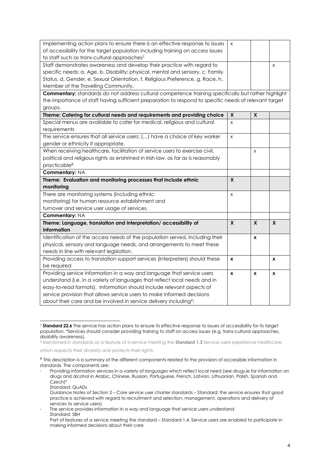| Implementing action plans to ensure there is an effective response to issues                               | X            |                    |   |
|------------------------------------------------------------------------------------------------------------|--------------|--------------------|---|
| of accessibility for the target population including training on access issues                             |              |                    |   |
| to staff such as trans-cultural approaches <sup>7</sup>                                                    |              |                    |   |
| Staff demonstrates awareness and develop their practice with regard to                                     |              |                    | X |
| specific needs: a. Age. b. Disability: physical, mental and sensory. c. Family                             |              |                    |   |
| Status. d. Gender. e. Sexual Orientation. f. Religious Preference. g. Race. h.                             |              |                    |   |
| Member of the Travelling Community.                                                                        |              |                    |   |
| <b>Commentary:</b> standards do not address cultural competence training specifically but rather highlight |              |                    |   |
| the importance of staff having sufficient preparation to respond to specific needs of relevant target      |              |                    |   |
| groups.                                                                                                    |              |                    |   |
| Theme: Catering for cultural needs and requirements and providing choice                                   | X            | $\pmb{\mathsf{X}}$ |   |
| Special menus are available to cater for medical, religious and cultural                                   | X            |                    |   |
| requirements                                                                                               |              |                    |   |
| The service ensures that all service users: () have a choice of key worker                                 | X            |                    |   |
| gender or ethnicity if appropriate.                                                                        |              |                    |   |
| When receiving healthcare, facilitation of service users to exercise civil,                                |              | X                  |   |
| political and religious rights as enshrined in Irish law, as far as is reasonably                          |              |                    |   |
| practicable <sup>8</sup>                                                                                   |              |                    |   |
| Commentary: NA                                                                                             |              |                    |   |
| Theme: Evaluation and monitoring processes that include ethnic                                             | $\mathsf{x}$ |                    |   |
| monitoring                                                                                                 |              |                    |   |
| There are monitoring systems (including ethnic                                                             | X            |                    |   |
| monitoring) for human resource establishment and                                                           |              |                    |   |
| turnover and service user usage of services.                                                               |              |                    |   |
| Commentary: NA                                                                                             |              |                    |   |
| Theme: Language, translation and interpretation/ accessibility of                                          | X            | X                  | X |
| information                                                                                                |              |                    |   |
| Identification of the access needs of the population served, including their                               |              | X                  |   |
| physical, sensory and language needs, and arrangements to meet these                                       |              |                    |   |
| needs in line with relevant legislation.                                                                   |              |                    |   |
| Providing access to translation support services (interpreters) should these                               | X            |                    | X |
| be required                                                                                                |              |                    |   |
| Providing service information in a way and language that service users                                     | X            | X                  | X |
| understand (i.e. in a variety of languages that reflect local needs and in                                 |              |                    |   |
| easy-to-read formats). Information should include relevant aspects of                                      |              |                    |   |
| service provision that allows service users to make informed decisions                                     |              |                    |   |
| about their care and be involved in service delivery including <sup>9</sup> :                              |              |                    |   |

 $\overline{a}$ <sup>7</sup> **Standard 22.6** The service has action plans to ensure its effective response to issues of accessibility for its target population. \*Services should consider providing training to staff on access issues (e.g. trans-cultural approaches, disability awareness).

<sup>8</sup> Mentioned in standards as a feature of a service meeting the **Standard 1.3** Service users experience healthcare

which respects their diversity and protects their rights.

<sup>9</sup> This description is a summary of the different components related to the provision of accessible information in standards. The components are:

Providing information services in a variety of languages which reflect local need (see drugs.ie for information on drugs and alcohol in Arabic, Chinese, Russian, Portuguese, French, Latvian, Lithuanian, Polish, Spanish and Czech)<sup>9</sup>

Standard: QuADs

Guidance Notes of Section 2 – Core service user charter standards – Standard: the service ensures that good practice is achieved with regard to recruitment and selection, management, operations and delivery of services to service users)

The service provides information in a way and language that service users understand Standard: SBH

Part of features of a service meeting the standard – Standard 1.4. Service users are enabled to participate in making informed decisions about their care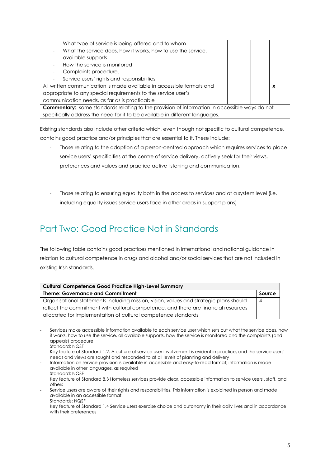| What type of service is being offered and to whom                                                    |   |
|------------------------------------------------------------------------------------------------------|---|
| What the service does, how it works, how to use the service,                                         |   |
| available supports                                                                                   |   |
| How the service is monitored                                                                         |   |
| Complaints procedure.                                                                                |   |
| Service users' rights and responsibilities                                                           |   |
| All written communication is made available in accessible formats and                                | X |
| appropriate to any special requirements to the service user's                                        |   |
| communication needs, as far as is practicable                                                        |   |
| <b>Commentary:</b> some standards relating to the provision of information in accessible ways do not |   |
| specifically address the need for it to be available in different languages.                         |   |

Existing standards also include other criteria which, even though not specific to cultural competence, contains good practice and/or principles that are essential to it. These include:

- Those relating to the adoption of a person-centred approach which requires services to place service users' specificities at the centre of service delivery, actively seek for their views, preferences and values and practice active listening and communication.
- Those relating to ensuring equality both in the access to services and at a system level (i.e. including equality issues service users face in other areas in support plans)

# Part Two: Good Practice Not in Standards

 $\overline{a}$ 

The following table contains good practices mentioned in international and national guidance in relation to cultural competence in drugs and alcohol and/or social services that are not included in existing Irish standards.

| <b>Cultural Competence Good Practice High-Level Summary</b>                            |        |  |
|----------------------------------------------------------------------------------------|--------|--|
| <b>Theme: Governance and Commitment</b>                                                | Source |  |
| Organisational statements including mission, vision, values and strategic plans should | 4      |  |
| reflect the commitment with cultural competence, and there are financial resources     |        |  |
| allocated for implementation of cultural competence standards                          |        |  |

Services make accessible information available to each service user which sets out what the service does, how it works, how to use the service, all available supports, how the service is monitored and the complaints (and appeals) procedure Standard: NQSF

Key feature of Standard 1.2: A culture of service user involvement is evident in practice, and the service users' needs and views are sought and responded to at all levels of planning and delivery

<sup>-</sup> Information on service provision is available in accessible and easy-to-read format; information is made available in other languages, as required

Standard: NQSF Key feature of Standard 8.3 Homeless services provide clear, accessible information to service users , staff, and others

Service users are aware of their rights and responsibilities. This information is explained in person and made available in an accessible format. Standards: NQSF

Key feature of Standard 1.4 Service users exercise choice and autonomy in their daily lives and in accordance with their preferences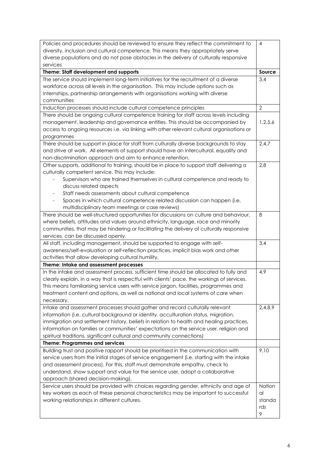| Policies and procedures should be reviewed to ensure they reflect the commitment to                                                                                          | $\overline{4}$ |
|------------------------------------------------------------------------------------------------------------------------------------------------------------------------------|----------------|
| diversity, inclusion and cultural competence. This means they appropriately serve                                                                                            |                |
| diverse populations and do not pose obstacles in the delivery of culturally responsive                                                                                       |                |
| services                                                                                                                                                                     |                |
| Theme: Staff development and supports                                                                                                                                        | Source         |
| The service should implement long-term initiatives for the recruitment of a diverse                                                                                          | 3,4            |
| workforce across all levels in the organisation. This may include options such as                                                                                            |                |
| internships, partnership arrangements with organisations working with diverse                                                                                                |                |
| communities                                                                                                                                                                  |                |
| Induction processes should include cultural competence principles                                                                                                            | $\overline{2}$ |
| There should be ongoing cultural competence training for staff across levels including                                                                                       |                |
| management, leadership and governance entities. This should be accompanied by                                                                                                | 1,2,5,6        |
| access to ongoing resources i.e. via linking with other relevant cultural organisations or                                                                                   |                |
| programmes                                                                                                                                                                   |                |
| There should be support in place for staff from culturally diverse backgrounds to stay                                                                                       | 2,4,7          |
| and strive at work. All elements of support should have an intercultural, equality and                                                                                       |                |
| non-discrimination approach and aim to enhance retention.                                                                                                                    |                |
| Other supports, additional to training, should be in place to support staff delivering a                                                                                     | 2,8            |
| culturally competent service. This may include:                                                                                                                              |                |
| Supervisors who are trained themselves in cultural competence and ready to                                                                                                   |                |
| discuss related aspects                                                                                                                                                      |                |
| Staff needs assessments about cultural competence                                                                                                                            |                |
| Spaces in which cultural competence related discussion can happen (i.e.                                                                                                      |                |
| multidisciplinary team meetings or case reviews)                                                                                                                             |                |
| There should be well-structured opportunities for discussions on culture and behaviour,                                                                                      | 8              |
| where beliefs, attitudes and values around ethnicity, language, race and minority                                                                                            |                |
| communities, that may be hindering or facilitating the delivery of culturally responsive                                                                                     |                |
| services, can be discussed openly.                                                                                                                                           |                |
| All staff, including management, should be supported to engage with self-                                                                                                    | 3,4            |
| awareness/self-evaluation or self-reflection practices, implicit bias work and other                                                                                         |                |
| activities that allow developing cultural humility,                                                                                                                          |                |
| Theme: Intake and assessment processes                                                                                                                                       |                |
| In the intake and assessment process, sufficient time should be allocated to fully and                                                                                       | 4,9            |
| clearly explain, in a way that is respectful with clients' pace, the workings of services.                                                                                   |                |
| This means familiarising service users with service jargon, facilities, programmes and                                                                                       |                |
| treatment content and options, as well as national and local systems of care when                                                                                            |                |
| necessary.                                                                                                                                                                   |                |
| Intake and assessment processes should gather and record culturally relevant                                                                                                 | 2,4,8,9        |
| information (i.e. cultural background or identity, acculturation status, migration,                                                                                          |                |
| immigration and settlement history, beliefs in relation to health and healing practices,                                                                                     |                |
| information on families or communities' expectations on the service user, religion and                                                                                       |                |
| spiritual traditions, significant cultural and community connections)                                                                                                        |                |
| <b>Theme: Programmes and services</b>                                                                                                                                        |                |
| Building trust and positive rapport should be prioritised in the communication with                                                                                          | 9,10           |
| service users from the initial stages of service engagement (i.e. starting with the intake                                                                                   |                |
| and assessment process). For this, staff must demonstrate empathy, check to<br>understand, show support and value for the service user, adopt a collaborative                |                |
| approach (shared decision-making).                                                                                                                                           |                |
|                                                                                                                                                                              | <b>Nation</b>  |
| Service users should be provided with choices regarding gender, ethnicity and age of<br>key workers as each of these personal characteristics may be important to successful | al             |
| working relationships in different cultures.                                                                                                                                 | standa         |
|                                                                                                                                                                              | rds            |
|                                                                                                                                                                              | 9              |
|                                                                                                                                                                              |                |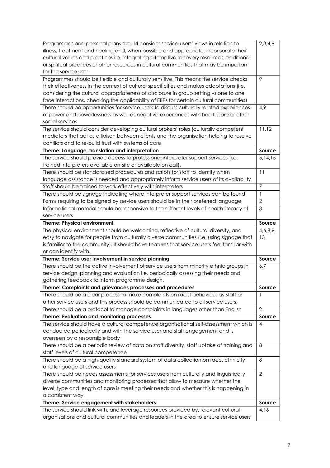|                                                                                                                                                                               | 2,3,4,8        |
|-------------------------------------------------------------------------------------------------------------------------------------------------------------------------------|----------------|
| Programmes and personal plans should consider service users' views in relation to<br>illness, treatment and healing and, when possible and appropriate, incorporate their     |                |
| cultural values and practices i.e. integrating alternative recovery resources, traditional                                                                                    |                |
| or spiritual practices or other resources in cultural communities that may be important                                                                                       |                |
| for the service user                                                                                                                                                          |                |
| Programmes should be flexible and culturally sensitive. This means the service checks                                                                                         | 9              |
| their effectiveness in the context of cultural specificities and makes adaptations (i.e.                                                                                      |                |
| considering the cultural appropriateness of disclosure in group setting vs one to one                                                                                         |                |
| face interactions, checking the applicability of EBPs for certain cultural communities)                                                                                       |                |
| There should be opportunities for service users to discuss culturally related experiences                                                                                     | 4,9            |
| of power and powerlessness as well as negative experiences with healthcare or other                                                                                           |                |
| social services                                                                                                                                                               |                |
| The service should consider developing cultural brokers' roles (culturally competent                                                                                          | 11,12          |
| mediators that act as a liaison between clients and the organisation helping to resolve                                                                                       |                |
| conflicts and to re-build trust with systems of care                                                                                                                          |                |
| Theme: Language, translation and interpretation                                                                                                                               | Source         |
| The service should provide access to professional interpreter support services (i.e.                                                                                          | 5,14,15        |
| trained interpreters available on-site or available on call).                                                                                                                 |                |
| There should be standardised procedures and scripts for staff to identify when                                                                                                | 11             |
| language assistance is needed and appropriately inform service users of its availability                                                                                      |                |
| Staff should be trained to work effectively with interpreters                                                                                                                 | $\overline{7}$ |
| There should be signage indicating where interpreter support services can be found                                                                                            | 1              |
| Forms requiring to be signed by service users should be in their preferred language                                                                                           | $\mathbf{2}$   |
| Informational material should be responsive to the different levels of health literacy of                                                                                     | 8              |
| service users                                                                                                                                                                 |                |
| <b>Theme: Physical environment</b>                                                                                                                                            | Source         |
| The physical environment should be welcoming, reflective of cultural diversity, and                                                                                           | 4,6,8,9,       |
| easy to navigate for people from culturally diverse communities (i.e. using signage that                                                                                      | 13             |
| is familiar to the community). It should have features that service users feel familiar with                                                                                  |                |
|                                                                                                                                                                               |                |
| or can identify with.                                                                                                                                                         |                |
| Theme: Service user involvement in service planning                                                                                                                           | Source         |
| There should be the active involvement of service users from minority ethnic groups in                                                                                        | 6,7            |
| service design, planning and evaluation i.e. periodically assessing their needs and                                                                                           |                |
| gathering feedback to inform programme design.                                                                                                                                |                |
| Theme: Complaints and grievances processes and procedures                                                                                                                     | Source         |
| There should be a clear process to make complaints on racist behaviour by staff or                                                                                            | 1              |
| other service users and this process should be communicated to all service users.                                                                                             |                |
| There should be a protocol to manage complaints in languages other than English                                                                                               | $\mathbf{2}$   |
| Theme: Evaluation and monitoring processes                                                                                                                                    | Source         |
| The service should have a cultural competence organisational self-assessment which is                                                                                         | 4              |
| conducted periodically and with the service user and staff engagement and is                                                                                                  |                |
| overseen by a responsible body                                                                                                                                                |                |
| There should be a periodic review of data on staff diversity, staff uptake of training and                                                                                    | 8              |
| staff levels of cultural competence                                                                                                                                           |                |
| There should be a high-quality standard system of data collection on race, ethnicity                                                                                          | 8              |
| and language of service users                                                                                                                                                 |                |
| There should be needs assessments for services users from culturally and linguistically                                                                                       | $\overline{2}$ |
| diverse communities and monitoring processes that allow to measure whether the                                                                                                |                |
| level, type and length of care is meeting their needs and whether this is happening in                                                                                        |                |
| a consistent way                                                                                                                                                              |                |
| Theme: Service engagement with stakeholders                                                                                                                                   | Source         |
| The service should link with, and leverage resources provided by, relevant cultural<br>organisations and cultural communities and leaders in the area to ensure service users | 4,16           |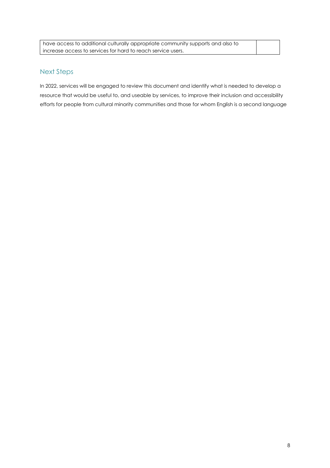| have access to additional culturally appropriate community supports and also to |  |
|---------------------------------------------------------------------------------|--|
| increase access to services for hard to reach service users.                    |  |

#### Next Steps

In 2022, services will be engaged to review this document and identify what is needed to develop a resource that would be useful to, and useable by services, to improve their inclusion and accessibility efforts for people from cultural minority communities and those for whom English is a second language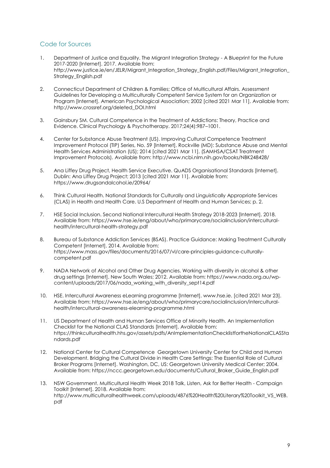#### Code for Sources

- 1. Department of Justice and Equality. The Migrant Integration Strategy A Blueprint for the Future 2017-2020 [Internet]. 2017. Available from: http://www.justice.ie/en/JELR/Migrant\_Integration\_Strategy\_English.pdf/Files/Migrant\_Integration\_ Strategy\_English.pdf
- 2. Connecticut Department of Children & Families; Office of Multicultural Affairs. Assessment Guidelines for Developing a Multiculturally Competent Service System for an Organization or Program [Internet]. American Psychological Association; 2002 [cited 2021 Mar 11]. Available from: http://www.crossref.org/deleted\_DOI.html
- 3. Gainsbury SM. Cultural Competence in the Treatment of Addictions: Theory, Practice and Evidence. Clinical Psychology & Psychotherapy. 2017;24(4):987–1001.
- 4. Center for Substance Abuse Treatment (US). Improving Cultural Competence Treatment Improvement Protocol (TIP) Series, No. 59 [Internet]. Rockville (MD): Substance Abuse and Mental Health Services Administration (US); 2014 [cited 2021 Mar 11]. (SAMHSA/CSAT Treatment Improvement Protocols). Available from: http://www.ncbi.nlm.nih.gov/books/NBK248428/
- 5. Ana Liffey Drug Project, Health Service Executive. QuADS Organisational Standards [Internet]. Dublin: Ana Liffey Drug Project; 2013 [cited 2021 Mar 11]. Available from: https://www.drugsandalcohol.ie/20964/
- 6. Think Cultural Health. National Standards for Culturally and Linguistically Appropriate Services (CLAS) in Health and Health Care. U.S Department of Health and Human Services; p. 2.
- 7. HSE Social Inclusion. Second National Intercultural Health Strategy 2018-2023 [Internet]. 2018. Available from: https://www.hse.ie/eng/about/who/primarycare/socialinclusion/interculturalhealth/intercultural-health-strategy.pdf
- 8. Bureau of Substance Addiction Services (BSAS). Practice Guidance: Making Treatment Culturally Competent [Internet]. 2014. Available from: https://www.mass.gov/files/documents/2016/07/vl/care-principles-guidance-culturallycompetent.pdf
- 9. NADA Network of Alcohol and Other Drug Agencies. Working with diversity in alcohol & other drug settings [Internet]. New South Wales; 2012. Available from: https://www.nada.org.au/wpcontent/uploads/2017/06/nada\_working\_with\_diversity\_sept14.pdf
- 10. HSE. Intercultural Awareness eLearning programme [Internet]. www.hse.ie. [cited 2021 Mar 23]. Available from: https://www.hse.ie/eng/about/who/primarycare/socialinclusion/interculturalhealth/intercultural-awareness-elearning-programme.html
- 11. US Department of Health and Human Services Office of Minority Health. An Implementation Checklist for the National CLAS Standards [Internet]. Available from: https://thinkculturalhealth.hhs.gov/assets/pdfs/AnImplementationChecklistfortheNationalCLASSta ndards.pdf
- 12. National Center for Cultural Competence Georgetown University Center for Child and Human Development. Bridging the Cultural Divide in Health Care Settings: The Essential Role of Cultural Broker Programs [Internet]. Washington, DC, US: Georgetown University Medical Center; 2004. Available from: https://nccc.georgetown.edu/documents/Cultural\_Broker\_Guide\_English.pdf
- 13. NSW Government. Multicultural Health Week 2018 Talk, Listen, Ask for Better Health Campaign Toolkit [Internet]. 2018. Available from: http://www.multiculturalhealthweek.com/uploads/4876%20Health%20Literary%20Toolkit\_V5\_WEB. pdf